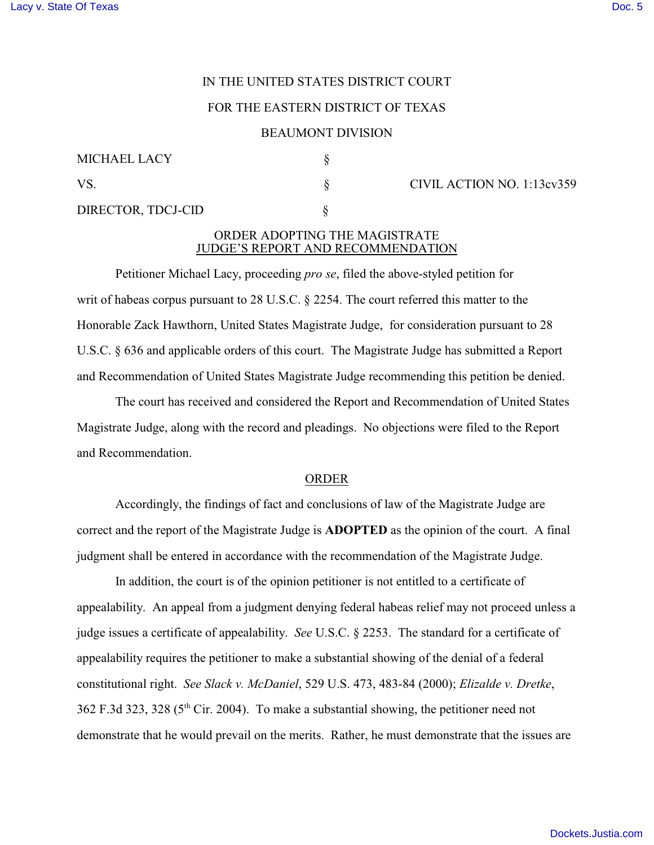# IN THE UNITED STATES DISTRICT COURT

# FOR THE EASTERN DISTRICT OF TEXAS

#### BEAUMONT DIVISION

| MICHAEL LACY       |  |
|--------------------|--|
| VS.                |  |
| DIRECTOR, TDCJ-CID |  |

### $\text{V}$ S. CIVIL ACTION NO. 1:13cv359

# ORDER ADOPTING THE MAGISTRATE JUDGE'S REPORT AND RECOMMENDATION

Petitioner Michael Lacy, proceeding *pro se*, filed the above-styled petition for writ of habeas corpus pursuant to 28 U.S.C. § 2254. The court referred this matter to the Honorable Zack Hawthorn, United States Magistrate Judge, for consideration pursuant to 28 U.S.C. § 636 and applicable orders of this court. The Magistrate Judge has submitted a Report and Recommendation of United States Magistrate Judge recommending this petition be denied.

The court has received and considered the Report and Recommendation of United States Magistrate Judge, along with the record and pleadings. No objections were filed to the Report and Recommendation.

#### ORDER

Accordingly, the findings of fact and conclusions of law of the Magistrate Judge are correct and the report of the Magistrate Judge is **ADOPTED** as the opinion of the court. A final judgment shall be entered in accordance with the recommendation of the Magistrate Judge.

In addition, the court is of the opinion petitioner is not entitled to a certificate of appealability. An appeal from a judgment denying federal habeas relief may not proceed unless a judge issues a certificate of appealability. *See* U.S.C. § 2253. The standard for a certificate of appealability requires the petitioner to make a substantial showing of the denial of a federal constitutional right. *See Slack v. McDaniel*, 529 U.S. 473, 483-84 (2000); *Elizalde v. Dretke*,  $362$  F.3d 323, 328 (5<sup>th</sup> Cir. 2004). To make a substantial showing, the petitioner need not demonstrate that he would prevail on the merits. Rather, he must demonstrate that the issues are